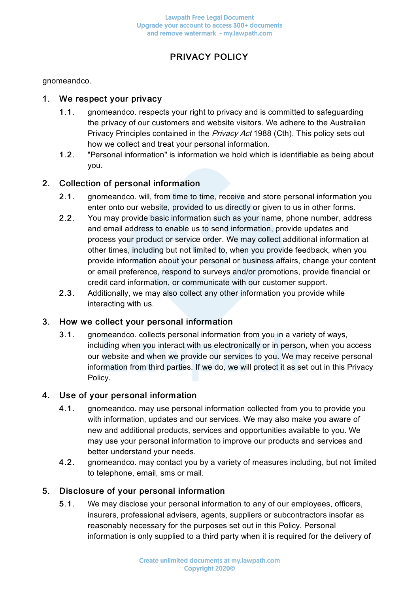# PRIVACY POLICY

gnomeandco.

## 1. We respect your privacy

- 1.1. gnomeandco. respects your right to privacy and is committed to safeguarding the privacy of our customers and website visitors. We adhere to the Australian Privacy Principles contained in the Privacy Act 1988 (Cth). This policy sets out how we collect and treat your personal information.
- 1.2. "Personal information" is information we hold which is identifiable as being about you.

## 2. Collection of personal information

- 2.1. gnomeandco. will, from time to time, receive and store personal information you enter onto our website, provided to us directly or given to us in other forms.
- 2.2. You may provide basic information such as your name, phone number, address and email address to enable us to send information, provide updates and process your product or service order. We may collect additional information at other times, including but not limited to, when you provide feedback, when you provide information about your personal or business affairs, change your content or email preference, respond to surveys and/or promotions, provide financial or credit card information, or communicate with our customer support.
- 2.3. Additionally, we may also collect any other information you provide while interacting with us.

## 3. How we collect your personal information

3.1. gnomeandco. collects personal information from you in a variety of ways, including when you interact with us electronically or in person, when you access our website and when we provide our services to you. We may receive personal information from third parties. If we do, we will protect it as set out in this Privacy Policy.

## 4. Use of your personal information

- 4.1. gnomeandco. may use personal information collected from you to provide you with information, updates and our services. We may also make you aware of new and additional products, services and opportunities available to you. We may use your personal information to improve our products and services and better understand your needs.
- 4.2. gnomeandco. may contact you by a variety of measures including, but not limited to telephone, email, sms or mail.

## 5. Disclosure of your personal information

5.1. We may disclose your personal information to any of our employees, officers, insurers, professional advisers, agents, suppliers or subcontractors insofar as reasonably necessary for the purposes set out in this Policy. Personal information is only supplied to a third party when it is required for the delivery of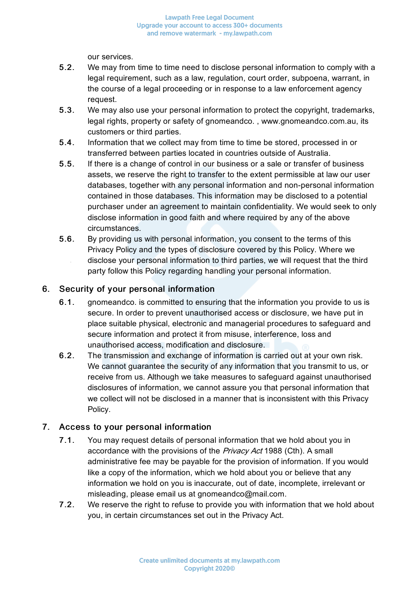our services.

- 5.2. We may from time to time need to disclose personal information to comply with a legal requirement, such as a law, regulation, court order, subpoena, warrant, in the course of a legal proceeding or in response to a law enforcement agency request.
- 5.3. We may also use your personal information to protect the copyright, trademarks, legal rights, property or safety of gnomeandco. , www.gnomeandco.com.au, its customers or third parties.
- 5.4. Information that we collect may from time to time be stored, processed in or transferred between parties located in countries outside of Australia.
- 5.5. If there is a change of control in our business or a sale or transfer of business assets, we reserve the right to transfer to the extent permissible at law our user databases, together with any personal information and non-personal information contained in those databases. This information may be disclosed to a potential purchaser under an agreement to maintain confidentiality. We would seek to only disclose information in good faith and where required by any of the above circumstances.
- 5.6. By providing us with personal information, you consent to the terms of this Privacy Policy and the types of disclosure covered by this Policy. Where we disclose your personal information to third parties, we will request that the third party follow this Policy regarding handling your personal information.

## 6. Security of your personal information

- 6.1. gnomeandco. is committed to ensuring that the information you provide to us is secure. In order to prevent unauthorised access or disclosure, we have put in place suitable physical, electronic and managerial procedures to safeguard and secure information and protect it from misuse, interference, loss and unauthorised access, modification and disclosure.
- 6.2. The transmission and exchange of information is carried out at your own risk. We cannot guarantee the security of any information that you transmit to us, or receive from us. Although we take measures to safeguard against unauthorised disclosures of information, we cannot assure you that personal information that we collect will not be disclosed in a manner that is inconsistent with this Privacy Policy.

# 7. Access to your personal information

- 7.1. You may request details of personal information that we hold about you in accordance with the provisions of the *Privacy Act* 1988 (Cth). A small administrative fee may be payable for the provision of information. If you would like a copy of the information, which we hold about you or believe that any information we hold on you is inaccurate, out of date, incomplete, irrelevant or misleading, please email us at gnomeandco@mail.com.
- 7.2. We reserve the right to refuse to provide you with information that we hold about you, in certain circumstances set out in the Privacy Act.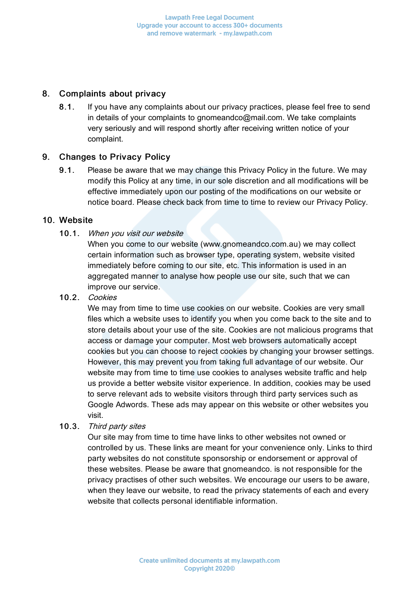## 8. Complaints about privacy

8.1. If you have any complaints about our privacy practices, please feel free to send in details of your complaints to gnomeandco@mail.com. We take complaints very seriously and will respond shortly after receiving written notice of your complaint.

## 9. Changes to Privacy Policy

9.1. Please be aware that we may change this Privacy Policy in the future. We may modify this Policy at any time, in our sole discretion and all modifications will be effective immediately upon our posting of the modifications on our website or notice board. Please check back from time to time to review our Privacy Policy.

## 10. Website

## 10.1. When you visit our website

When you come to our website (www.gnomeandco.com.au) we may collect certain information such as browser type, operating system, website visited immediately before coming to our site, etc. This information is used in an aggregated manner to analyse how people use our site, such that we can improve our service.

#### 10.2. Cookies

We may from time to time use cookies on our website. Cookies are very small files which a website uses to identify you when you come back to the site and to store details about your use of the site. Cookies are not malicious programs that access or damage your computer. Most web browsers automatically accept cookies but you can choose to reject cookies by changing your browser settings. However, this may prevent you from taking full advantage of our website. Our website may from time to time use cookies to analyses website traffic and help us provide a better website visitor experience. In addition, cookies may be used to serve relevant ads to website visitors through third party services such as Google Adwords. These ads may appear on this website or other websites you visit.

10.3. Third party sites

Our site may from time to time have links to other websites not owned or controlled by us. These links are meant for your convenience only. Links to third party websites do not constitute sponsorship or endorsement or approval of these websites. Please be aware that gnomeandco. is not responsible for the privacy practises of other such websites. We encourage our users to be aware, when they leave our website, to read the privacy statements of each and every website that collects personal identifiable information.